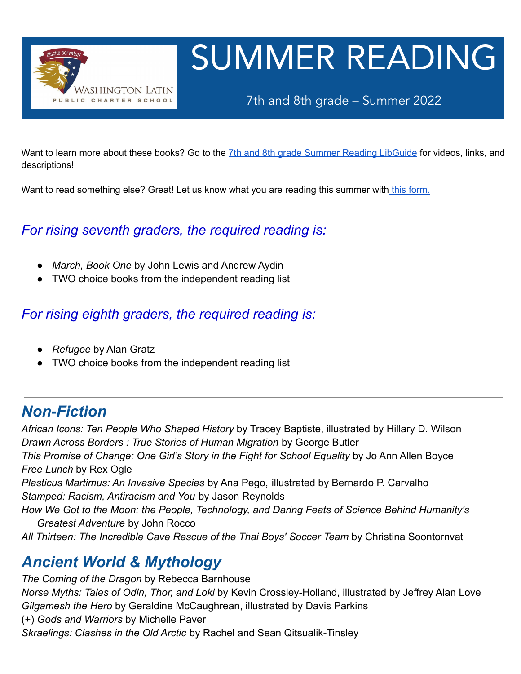

# SUMMER READING

7th and 8th grade – Summer 2022

Want to learn more about these books? Go to the 7th and 8th grade Summer Reading [LibGuide](https://latinpcs.libguides.com/2022summer78) for videos, links, and descriptions!

Want to read something else? Great! Let us know what you are reading this summer with this [form.](https://forms.gle/wVs33M9yexwsL3Ud6)

#### *For rising seventh graders, the required reading is:*

- **●** *March, Book One* by John Lewis and Andrew Aydin
- **●** TWO choice books from the independent reading list

#### *For rising eighth graders, the required reading is:*

- **●** *Refugee* by Alan Gratz
- **●** TWO choice books from the independent reading list

#### *Non-Fiction*

*African Icons: Ten People Who Shaped History* by Tracey Baptiste, illustrated by Hillary D. Wilson *Drawn Across Borders : True Stories of Human Migration* by George Butler *This Promise of Change: One Girl's Story in the Fight for School Equality* by Jo Ann Allen Boyce *Free Lunch* by Rex Ogle *Plasticus Martimus: An Invasive Species* by Ana Pego, illustrated by Bernardo P. Carvalho *Stamped: Racism, Antiracism and You* by Jason Reynolds *How We Got to the Moon: the People, Technology, and Daring Feats of Science Behind Humanity's Greatest Adventure* by John Rocco *All Thirteen: The Incredible Cave Rescue of the Thai Boys' Soccer Team* by Christina Soontornvat

#### *Ancient World & Mythology*

*The Coming of the Dragon* by Rebecca Barnhouse *Norse Myths: Tales of Odin, Thor, and Loki* by Kevin Crossley-Holland, illustrated by Jeffrey Alan Love *Gilgamesh the Hero* by Geraldine McCaughrean, illustrated by Davis Parkins (+) *Gods and Warriors* by Michelle Paver *Skraelings: Clashes in the Old Arctic* by Rachel and Sean Qitsualik-Tinsley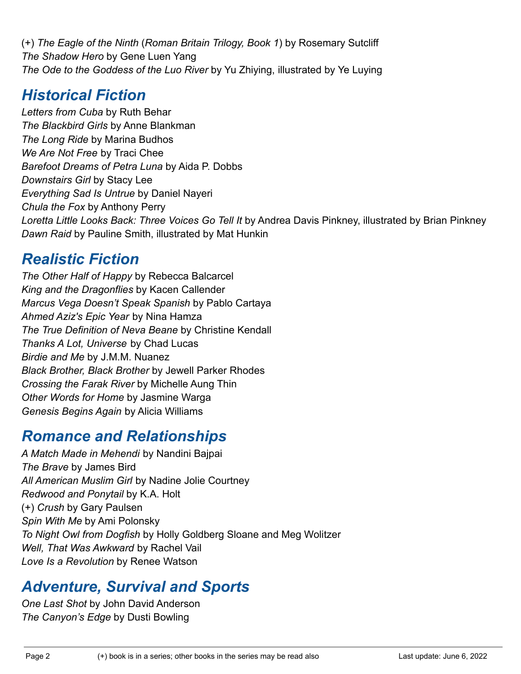(+) *The Eagle of the Ninth* (*Roman Britain Trilogy, Book 1*) by Rosemary Sutcliff *The Shadow Hero* by Gene Luen Yang *The Ode to the Goddess of the Luo River* by Yu Zhiying, illustrated by Ye Luying

### *Historical Fiction*

*Letters from Cuba* by Ruth Behar *The Blackbird Girls* by Anne Blankman *The Long Ride* by Marina Budhos *We Are Not Free* by Traci Chee *Barefoot Dreams of Petra Luna* by Aida P. Dobbs *Downstairs Girl* by Stacy Lee *Everything Sad Is Untrue* by Daniel Nayeri *Chula the Fox* by Anthony Perry *Loretta Little Looks Back: Three Voices Go Tell It* by Andrea Davis Pinkney, illustrated by Brian Pinkney *Dawn Raid* by Pauline Smith, illustrated by Mat Hunkin

### *Realistic Fiction*

*The Other Half of Happy* by Rebecca Balcarcel *King and the Dragonflies* by Kacen Callender *Marcus Vega Doesn't Speak Spanish* by Pablo Cartaya *Ahmed Aziz's Epic Year* by Nina Hamza *The True Definition of Neva Beane* by Christine Kendall *Thanks A Lot, Universe* by Chad Lucas *Birdie and Me* by J.M.M. Nuanez *Black Brother, Black Brother* by Jewell Parker Rhodes *Crossing the Farak River* by Michelle Aung Thin *Other Words for Home* by Jasmine Warga *Genesis Begins Again* by Alicia Williams

### *Romance and Relationships*

*A Match Made in Mehendi* by Nandini Bajpai *The Brave* by James Bird *All American Muslim Girl* by Nadine Jolie Courtney *Redwood and Ponytail* by K.A. Holt (+) *Crush* by Gary Paulsen *Spin With Me* by Ami Polonsky *To Night Owl from Dogfish* by Holly Goldberg Sloane and Meg Wolitzer *Well, That Was Awkward* by Rachel Vail *Love Is a Revolution* by Renee Watson

## *Adventure, Survival and Sports*

*One Last Shot* by John David Anderson *The Canyon's Edge* by Dusti Bowling